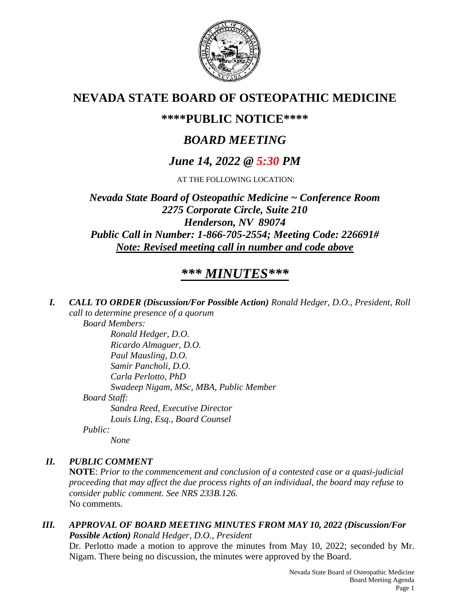

# **NEVADA STATE BOARD OF OSTEOPATHIC MEDICINE**

## **\*\*\*\*PUBLIC NOTICE\*\*\*\***

# *BOARD MEETING*

# *June 14, 2022 @ 5:30 PM*

AT THE FOLLOWING LOCATION:

*Nevada State Board of Osteopathic Medicine ~ Conference Room 2275 Corporate Circle, Suite 210 Henderson, NV 89074 Public Call in Number: 1-866-705-2554; Meeting Code: 226691# Note: Revised meeting call in number and code above*

# *\*\*\* MINUTES\*\*\**

*I. CALL TO ORDER (Discussion/For Possible Action) Ronald Hedger, D.O., President, Roll call to determine presence of a quorum*

*Board Members:*

*Ronald Hedger, D.O. Ricardo Almaguer, D.O. Paul Mausling, D.O. Samir Pancholi, D.O. Carla Perlotto, PhD Swadeep Nigam, MSc, MBA, Public Member Board Staff: Sandra Reed, Executive Director Louis Ling, Esq., Board Counsel Public:*

*None*

## *II. PUBLIC COMMENT*

**NOTE**: *Prior to the commencement and conclusion of a contested case or a quasi-judicial proceeding that may affect the due process rights of an individual, the board may refuse to consider public comment. See NRS 233B.126.* No comments.

*III. APPROVAL OF BOARD MEETING MINUTES FROM MAY 10, 2022 (Discussion/For Possible Action) Ronald Hedger, D.O., President*

Dr. Perlotto made a motion to approve the minutes from May 10, 2022; seconded by Mr. Nigam. There being no discussion, the minutes were approved by the Board.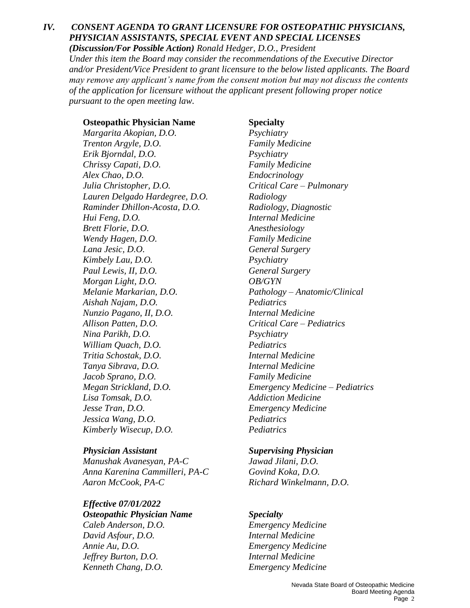## *IV. CONSENT AGENDA TO GRANT LICENSURE FOR OSTEOPATHIC PHYSICIANS, PHYSICIAN ASSISTANTS, SPECIAL EVENT AND SPECIAL LICENSES*

*(Discussion/For Possible Action) Ronald Hedger, D.O., President Under this item the Board may consider the recommendations of the Executive Director and/or President/Vice President to grant licensure to the below listed applicants. The Board may remove any applicant's name from the consent motion but may not discuss the contents of the application for licensure without the applicant present following proper notice pursuant to the open meeting law.*

#### **Osteopathic Physician Name Specialty**

*Margarita Akopian, D.O. Psychiatry Trenton Argyle, D.O. Family Medicine Erik Bjorndal, D.O. Psychiatry Chrissy Capati, D.O. Family Medicine Alex Chao, D.O. Endocrinology Julia Christopher, D.O. Critical Care – Pulmonary Lauren Delgado Hardegree, D.O. Radiology Raminder Dhillon-Acosta, D.O. Radiology, Diagnostic Hui Feng, D.O. Internal Medicine Brett Florie, D.O. Anesthesiology Wendy Hagen, D.O. Family Medicine Lana Jesic, D.O. General Surgery Kimbely Lau, D.O. Psychiatry Paul Lewis, II, D.O. General Surgery Morgan Light, D.O. OB/GYN Melanie Markarian, D.O. Pathology – Anatomic/Clinical Aishah Najam, D.O. Pediatrics Nunzio Pagano, II, D.O. Internal Medicine Allison Patten, D.O. Critical Care – Pediatrics Nina Parikh, D.O. Psychiatry William Quach, D.O. Pediatrics Tritia Schostak, D.O. Internal Medicine Tanya Sibrava, D.O. Internal Medicine Jacob Sprano, D.O. Family Medicine Lisa Tomsak, D.O.* Addiction Medicine *Jesse Tran, D.O. Emergency Medicine Jessica Wang, D.O. Pediatrics Kimberly Wisecup, D.O. Pediatrics*

*Manushak Avanesyan, PA-C Jawad Jilani, D.O. Anna Karenina Cammilleri, PA-C Govind Koka, D.O. Aaron McCook, PA-C Richard Winkelmann, D.O.*

### *Effective 07/01/2022 Osteopathic Physician Name Specialty Caleb Anderson, D.O. Emergency Medicine*

*David Asfour, D.O. Internal Medicine Annie Au, D.O. Emergency Medicine Jeffrey Burton, D.O. Internal Medicine Kenneth Chang, D.O. Emergency Medicine*

*Megan Strickland, D.O. Emergency Medicine – Pediatrics*

### *Physician Assistant Supervising Physician*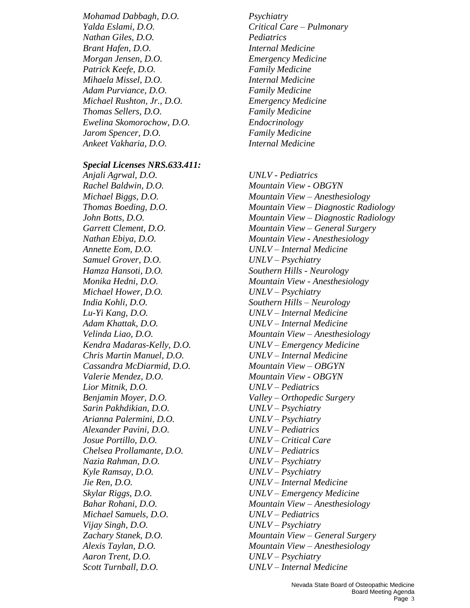*Mohamad Dabbagh, D.O. Psychiatry Yalda Eslami, D.O. Critical Care – Pulmonary Nathan Giles, D.O. Pediatrics Brant Hafen, D.O. Internal Medicine Morgan Jensen, D.O. Emergency Medicine Patrick Keefe, D.O. Family Medicine Mihaela Missel, D.O. Internal Medicine Adam Purviance, D.O. Family Medicine Michael Rushton, Jr., D.O. Emergency Medicine Thomas Sellers, D.O. Family Medicine Ewelina Skomorochow, D.O. Endocrinology Jarom Spencer, D.O. Family Medicine Ankeet Vakharia, D.O. Internal Medicine*

#### *Special Licenses NRS.633.411:*

*Anjali Agrwal, D.O. UNLV - Pediatrics Rachel Baldwin, D.O. Mountain View - OBGYN Annette Eom, D.O. UNLV – Internal Medicine Samuel Grover, D.O. UNLV – Psychiatry Hamza Hansoti, D.O. Southern Hills - Neurology Michael Hower, D.O. UNLV – Psychiatry India Kohli, D.O. Southern Hills – Neurology Lu-Yi Kang, D.O. UNLV – Internal Medicine Adam Khattak, D.O. UNLV – Internal Medicine Chris Martin Manuel, D.O. UNLV – Internal Medicine Cassandra McDiarmid, D.O. Mountain View – OBGYN Valerie Mendez, D.O. Mountain View - OBGYN Lior Mitnik, D.O. UNLV – Pediatrics Benjamin Moyer, D.O. Valley – Orthopedic Surgery Sarin Pakhdikian, D.O. UNLV – Psychiatry Arianna Palermini, D.O. UNLV – Psychiatry Alexander Pavini, D.O. UNLV – Pediatrics Josue Portillo, D.O. UNLV – Critical Care Chelsea Prollamante, D.O. UNLV – Pediatrics Nazia Rahman, D.O. UNLV – Psychiatry Kyle Ramsay, D.O. UNLV – Psychiatry Jie Ren, D.O. UNLV – Internal Medicine Skylar Riggs, D.O. UNLV – Emergency Medicine Michael Samuels, D.O. UNLV – Pediatrics Vijay Singh, D.O. UNLV – Psychiatry Aaron Trent, D.O. UNLV – Psychiatry Scott Turnball, D.O. UNLV – Internal Medicine*

*Michael Biggs, D.O. Mountain View – Anesthesiology Thomas Boeding, D.O. Mountain View – Diagnostic Radiology John Botts, D.O. Mountain View – Diagnostic Radiology Garrett Clement, D.O. Mountain View – General Surgery Nathan Ebiya, D.O. Mountain View - Anesthesiology Monika Hedni, D.O. Mountain View - Anesthesiology Velinda Liao, D.O. Mountain View – Anesthesiology Kendra Madaras-Kelly, D.O. UNLV – Emergency Medicine*

*Bahar Rohani, D.O. Mountain View – Anesthesiology Zachary Stanek, D.O. Mountain View – General Surgery*

*Alexis Taylan, D.O. Mountain View – Anesthesiology*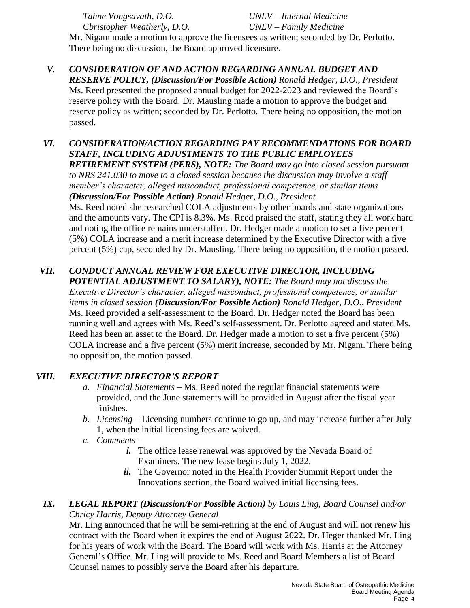*Cbristopher Weatherly, D.O. UNLV – Family Medicine*

*Tahne Vongsavath, D.O. UNLV – Internal Medicine*

Mr. Nigam made a motion to approve the licensees as written; seconded by Dr. Perlotto. There being no discussion, the Board approved licensure.

- *V. CONSIDERATION OF AND ACTION REGARDING ANNUAL BUDGET AND RESERVE POLICY, (Discussion/For Possible Action) Ronald Hedger, D.O., President* Ms. Reed presented the proposed annual budget for 2022-2023 and reviewed the Board's reserve policy with the Board. Dr. Mausling made a motion to approve the budget and reserve policy as written; seconded by Dr. Perlotto. There being no opposition, the motion passed.
- *VI. CONSIDERATION/ACTION REGARDING PAY RECOMMENDATIONS FOR BOARD STAFF, INCLUDING ADJUSTMENTS TO THE PUBLIC EMPLOYEES*

*RETIREMENT SYSTEM (PERS), NOTE: The Board may go into closed session pursuant to NRS 241.030 to move to a closed session because the discussion may involve a staff member's character, alleged misconduct, professional competence, or similar items (Discussion/For Possible Action) Ronald Hedger, D.O., President*

Ms. Reed noted she researched COLA adjustments by other boards and state organizations and the amounts vary. The CPI is 8.3%. Ms. Reed praised the staff, stating they all work hard and noting the office remains understaffed. Dr. Hedger made a motion to set a five percent (5%) COLA increase and a merit increase determined by the Executive Director with a five percent (5%) cap, seconded by Dr. Mausling. There being no opposition, the motion passed.

## *VII. CONDUCT ANNUAL REVIEW FOR EXECUTIVE DIRECTOR, INCLUDING*

*POTENTIAL ADJUSTMENT TO SALARY), NOTE: The Board may not discuss the Executive Director's character, alleged misconduct, professional competence, or similar items in closed session (Discussion/For Possible Action) Ronald Hedger, D.O., President* Ms. Reed provided a self-assessment to the Board. Dr. Hedger noted the Board has been running well and agrees with Ms. Reed's self-assessment. Dr. Perlotto agreed and stated Ms. Reed has been an asset to the Board. Dr. Hedger made a motion to set a five percent (5%) COLA increase and a five percent (5%) merit increase, seconded by Mr. Nigam. There being no opposition, the motion passed.

## *VIII. EXECUTIVE DIRECTOR'S REPORT*

- *a. Financial Statements* Ms. Reed noted the regular financial statements were provided, and the June statements will be provided in August after the fiscal year finishes.
- *b. Licensing* Licensing numbers continue to go up, and may increase further after July 1, when the initial licensing fees are waived.
- *c. Comments* 
	- *i.* The office lease renewal was approved by the Nevada Board of Examiners. The new lease begins July 1, 2022.
	- *ii.* The Governor noted in the Health Provider Summit Report under the Innovations section, the Board waived initial licensing fees.

## *IX. LEGAL REPORT (Discussion/For Possible Action) by Louis Ling, Board Counsel and/or Chricy Harris, Deputy Attorney General*

Mr. Ling announced that he will be semi-retiring at the end of August and will not renew his contract with the Board when it expires the end of August 2022. Dr. Heger thanked Mr. Ling for his years of work with the Board. The Board will work with Ms. Harris at the Attorney General's Office. Mr. Ling will provide to Ms. Reed and Board Members a list of Board Counsel names to possibly serve the Board after his departure.